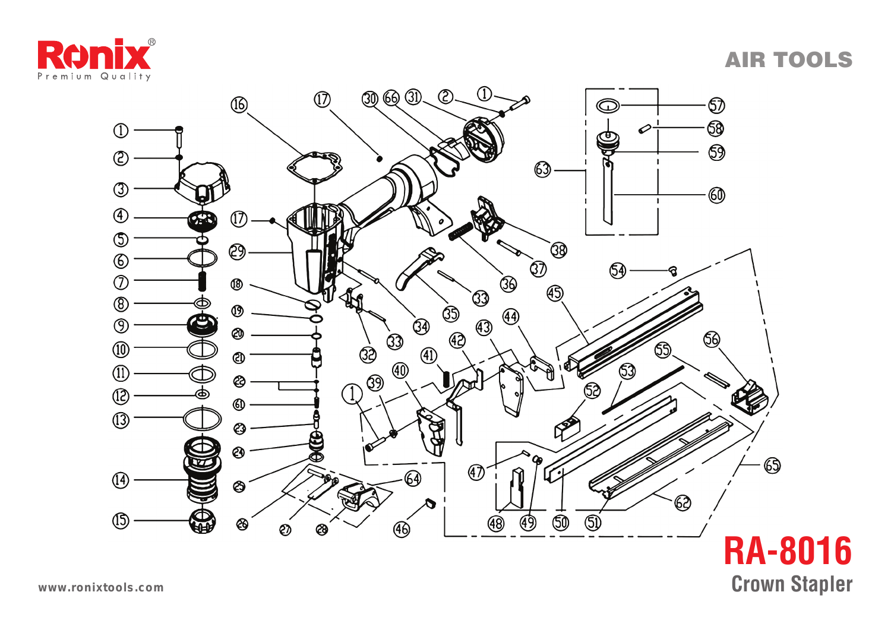





**www.ronixtools.com**